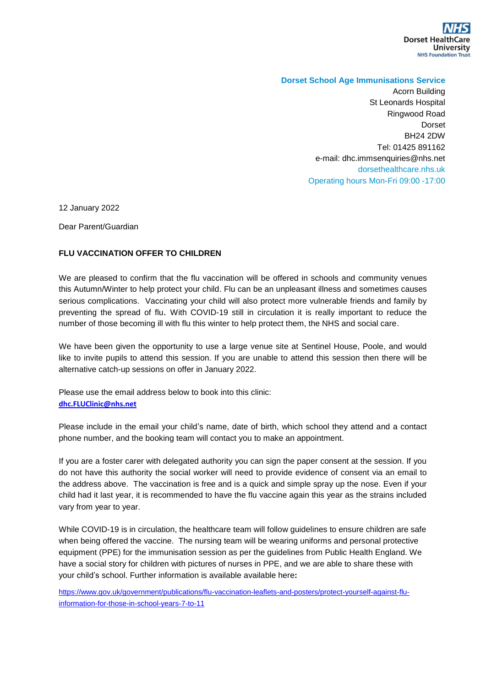

## **Dorset School Age Immunisations Service**

Acorn Building St Leonards Hospital Ringwood Road Dorset BH24 2DW Tel: 01425 891162 e-mail: dhc.immsenquiries@nhs.net dorsethealthcare.nhs.uk Operating hours Mon-Fri 09:00 -17:00

12 January 2022

Dear Parent/Guardian

## **FLU VACCINATION OFFER TO CHILDREN**

We are pleased to confirm that the flu vaccination will be offered in schools and community venues this Autumn/Winter to help protect your child. Flu can be an unpleasant illness and sometimes causes serious complications. Vaccinating your child will also protect more vulnerable friends and family by preventing the spread of flu. With COVID-19 still in circulation it is really important to reduce the number of those becoming ill with flu this winter to help protect them, the NHS and social care.

We have been given the opportunity to use a large venue site at Sentinel House, Poole, and would like to invite pupils to attend this session. If you are unable to attend this session then there will be alternative catch-up sessions on offer in January 2022.

Please use the email address below to book into this clinic: **[dhc.FLUClinic@nhs.net](mailto:dhc.FLUClinic@nhs.net)**

Please include in the email your child's name, date of birth, which school they attend and a contact phone number, and the booking team will contact you to make an appointment.

If you are a foster carer with delegated authority you can sign the paper consent at the session. If you do not have this authority the social worker will need to provide evidence of consent via an email to the address above. The vaccination is free and is a quick and simple spray up the nose. Even if your child had it last year, it is recommended to have the flu vaccine again this year as the strains included vary from year to year.

While COVID-19 is in circulation, the healthcare team will follow guidelines to ensure children are safe when being offered the vaccine. The nursing team will be wearing uniforms and personal protective equipment (PPE) for the immunisation session as per the guidelines from Public Health England. We have a social story for children with pictures of nurses in PPE, and we are able to share these with your child's school. Further information is available available here**:** 

[https://www.gov.uk/government/publications/flu-vaccination-leaflets-and-posters/protect-yourself-against-flu](https://www.gov.uk/government/publications/flu-vaccination-leaflets-and-posters/protect-yourself-against-flu-information-for-those-in-school-years-7-to-11)[information-for-those-in-school-years-7-to-11](https://www.gov.uk/government/publications/flu-vaccination-leaflets-and-posters/protect-yourself-against-flu-information-for-those-in-school-years-7-to-11)